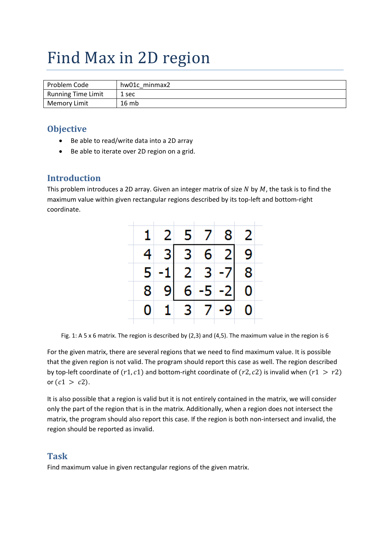# Find Max in 2D region

| Problem Code        | hw01c minmax2 |
|---------------------|---------------|
| Running Time Limit  | 1 sec         |
| <b>Memory Limit</b> | 16mb          |

### **Objective**

- Be able to read/write data into a 2D array
- Be able to iterate over 2D region on a grid.

#### **Introduction**

This problem introduces a 2D array. Given an integer matrix of size  $N$  by  $M$ , the task is to find the maximum value within given rectangular regions described by its top-left and bottom-right coordinate.

|             | 2 <sup>1</sup> | 5 <sup>1</sup>                                                                             | 7               | 81 | $\overline{2}$ |
|-------------|----------------|--------------------------------------------------------------------------------------------|-----------------|----|----------------|
|             |                | $\begin{array}{ c c c }\n 3 & 3 & 6 & 2 \\ 1 & 2 & 3 & -7 \\ 9 & 6 & -5 & -2\n\end{array}$ |                 |    | $\frac{9}{8}$  |
| 4<br>5<br>8 |                |                                                                                            |                 |    |                |
|             | $\overline{9}$ |                                                                                            |                 |    |                |
|             | 1              |                                                                                            | $3 \mid 7 \mid$ |    |                |

Fig. 1: A 5 x 6 matrix. The region is described by (2,3) and (4,5). The maximum value in the region is 6

For the given matrix, there are several regions that we need to find maximum value. It is possible that the given region is not valid. The program should report this case as well. The region described by top-left coordinate of  $(r1, c1)$  and bottom-right coordinate of  $(r2, c2)$  is invalid when  $(r1 > r2)$ or  $(c1 > c2)$ .

It is also possible that a region is valid but it is not entirely contained in the matrix, we will consider only the part of the region that is in the matrix. Additionally, when a region does not intersect the matrix, the program should also report this case. If the region is both non‐intersect and invalid, the region should be reported as invalid.

#### **Task**

Find maximum value in given rectangular regions of the given matrix.